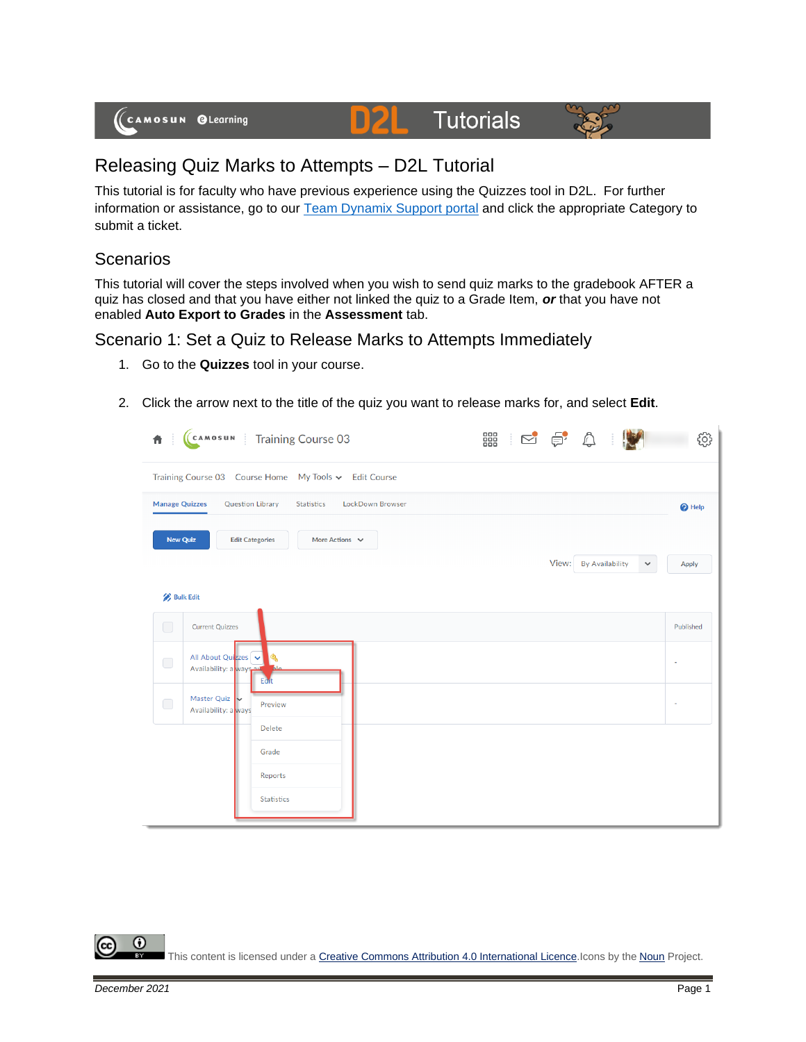

# **Tutorials**



# Releasing Quiz Marks to Attempts – D2L Tutorial

This tutorial is for faculty who have previous experience using the Quizzes tool in D2L. For further information or assistance, go to our [Team Dynamix Support portal](https://camosun.teamdynamix.com/TDClient/67/Portal/Requests/ServiceCatalog?CategoryID=523) and click the appropriate Category to submit a ticket.

DZ

## **Scenarios**

This tutorial will cover the steps involved when you wish to send quiz marks to the gradebook AFTER a quiz has closed and that you have either not linked the quiz to a Grade Item, *or* that you have not enabled **Auto Export to Grades** in the **Assessment** tab.

### Scenario 1: Set a Quiz to Release Marks to Attempts Immediately

- 1. Go to the **Quizzes** tool in your course.
- 2. Click the arrow next to the title of the quiz you want to release marks for, and select **Edit**.

| Ħ                     | CAMOSUN Training Course 03                                       | 器 250 0                         | දුරි}                 |
|-----------------------|------------------------------------------------------------------|---------------------------------|-----------------------|
|                       | Training Course 03  Course Home  My Tools v  Edit Course         |                                 |                       |
| <b>Manage Quizzes</b> | LockDown Browser<br><b>Question Library</b><br>Statistics        |                                 | <sup>O</sup> Help     |
|                       | <b>Edit Categories</b><br>More Actions $\vee$<br><b>New Quiz</b> |                                 |                       |
|                       |                                                                  | <b>By Availability</b><br>View: | $\checkmark$<br>Apply |
|                       | <b>Bulk Edit</b>                                                 |                                 |                       |
| $\bigcirc$            | <b>Current Quizzes</b>                                           |                                 | Published             |
| $\bigcirc$            | All About Quizzes<br>Availability: a ways<br>Eait                |                                 |                       |
| $\bigcirc$            | Master Quiz<br>Preview<br>Availability: a ways                   |                                 |                       |
|                       | <b>Delete</b><br>Grade                                           |                                 |                       |
|                       | Reports                                                          |                                 |                       |
|                       | Statistics                                                       |                                 |                       |

⋒ This content is licensed under [a Creative Commons Attribution 4.0 International Licence.I](https://creativecommons.org/licenses/by/4.0/)cons by the [Noun](https://creativecommons.org/website-icons/) Project.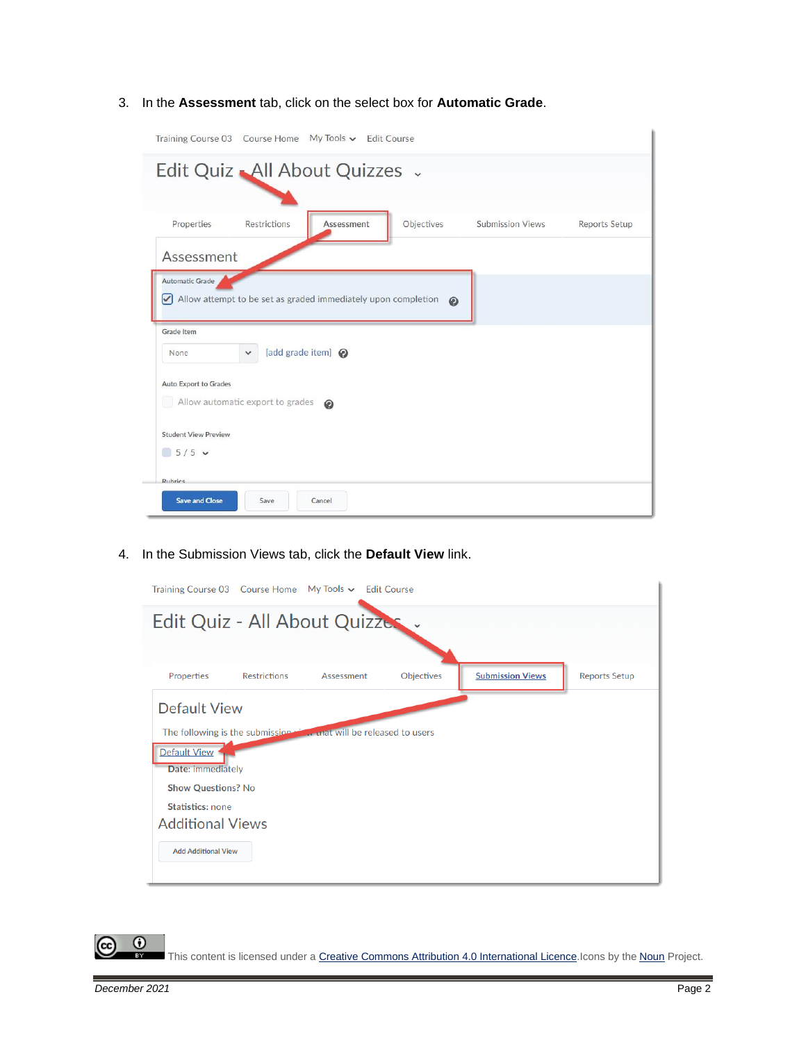#### 3. In the **Assessment** tab, click on the select box for **Automatic Grade**.

| Training Course 03 Course Home My Tools v Edit Course                                                              |  |  |  |  |  |
|--------------------------------------------------------------------------------------------------------------------|--|--|--|--|--|
| Edit Quiz All About Quizzes .                                                                                      |  |  |  |  |  |
|                                                                                                                    |  |  |  |  |  |
| Properties<br>Restrictions<br>Assessment<br>Objectives<br><b>Submission Views</b><br>Reports Setup                 |  |  |  |  |  |
| Assessment                                                                                                         |  |  |  |  |  |
| <b>Automatic Grade</b><br>$\triangledown$ Allow attempt to be set as graded immediately upon completion<br>$\odot$ |  |  |  |  |  |
| Grade Item<br>[add grade item] @<br>None                                                                           |  |  |  |  |  |
| <b>Auto Export to Grades</b><br>Allow automatic export to grades<br>$\circledcirc$                                 |  |  |  |  |  |
| <b>Student View Preview</b><br>$5/5$ $\vee$                                                                        |  |  |  |  |  |
| Rubrics<br><b>Save and Close</b><br>Save<br>Cancel                                                                 |  |  |  |  |  |

4. In the Submission Views tab, click the **Default View** link.



This content is licensed under [a Creative Commons Attribution 4.0 International Licence.I](https://creativecommons.org/licenses/by/4.0/)cons by the [Noun](https://creativecommons.org/website-icons/) Project.

 $\odot$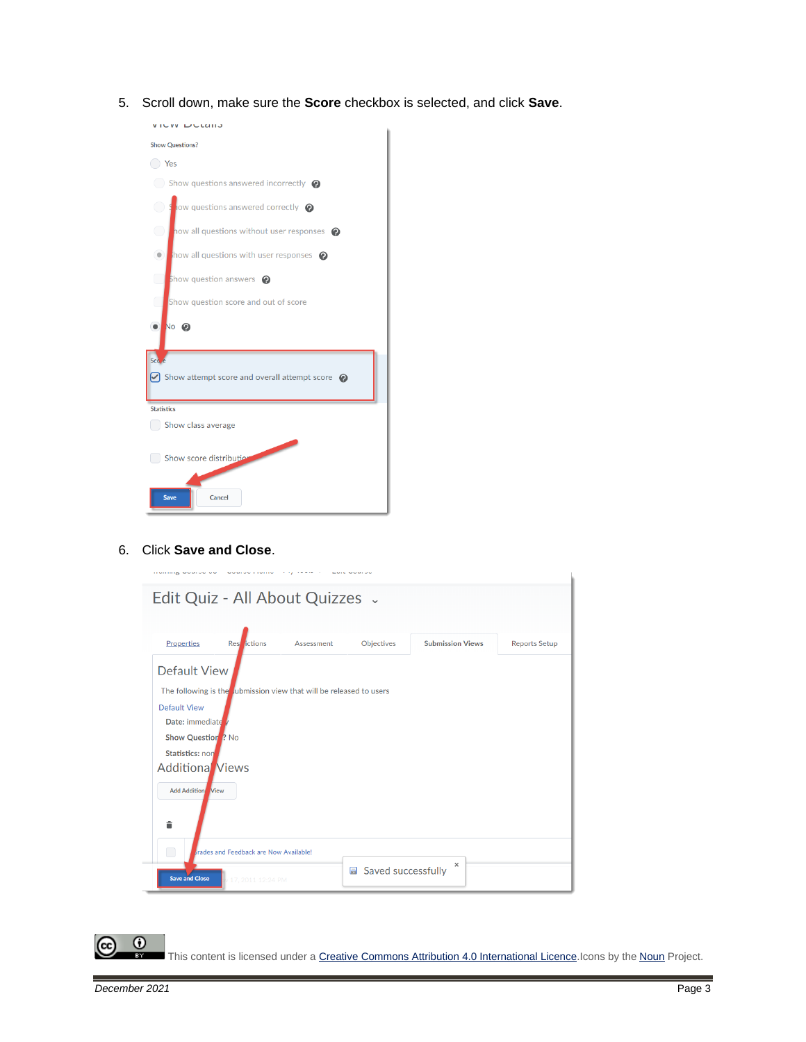5. Scroll down, make sure the **Score** checkbox is selected, and click **Save**.



6. Click **Save and Close**.

<u> 1919 - Paul Barbara, prima al-Americana (h. 1919).</u>

أأرب المتفاعل أولاده

|                                              | Edit Quiz - All About Quizzes .                                     |            |                                 |                         |                      |
|----------------------------------------------|---------------------------------------------------------------------|------------|---------------------------------|-------------------------|----------------------|
| Properties                                   | <b>Rest</b> <i>l</i> ictions                                        | Assessment | Objectives                      | <b>Submission Views</b> | <b>Reports Setup</b> |
| <b>Default View</b>                          |                                                                     |            |                                 |                         |                      |
|                                              | The following is the submission view that will be released to users |            |                                 |                         |                      |
| <b>Default View</b>                          |                                                                     |            |                                 |                         |                      |
| Date: immediate                              |                                                                     |            |                                 |                         |                      |
| <b>Show Question</b> ? No<br>Statistics: non |                                                                     |            |                                 |                         |                      |
| <b>Additional Views</b>                      |                                                                     |            |                                 |                         |                      |
|                                              |                                                                     |            |                                 |                         |                      |
| <b>Add Addition</b> View                     |                                                                     |            |                                 |                         |                      |
| â                                            |                                                                     |            |                                 |                         |                      |
| □                                            | <b>Brades and Feedback are Now Available!</b>                       |            |                                 |                         |                      |
| <b>Save and Close</b>                        | 17, 2011 12:24 PM                                                   |            | Saved successfully<br>$\boxdot$ | $\times$                |                      |

 $\sim$  2000  $\sim$  2000  $\sim$  2000  $\sim$ 

This content is licensed under [a Creative Commons Attribution 4.0 International Licence.I](https://creativecommons.org/licenses/by/4.0/)cons by the [Noun](https://creativecommons.org/website-icons/) Project.

 $\odot$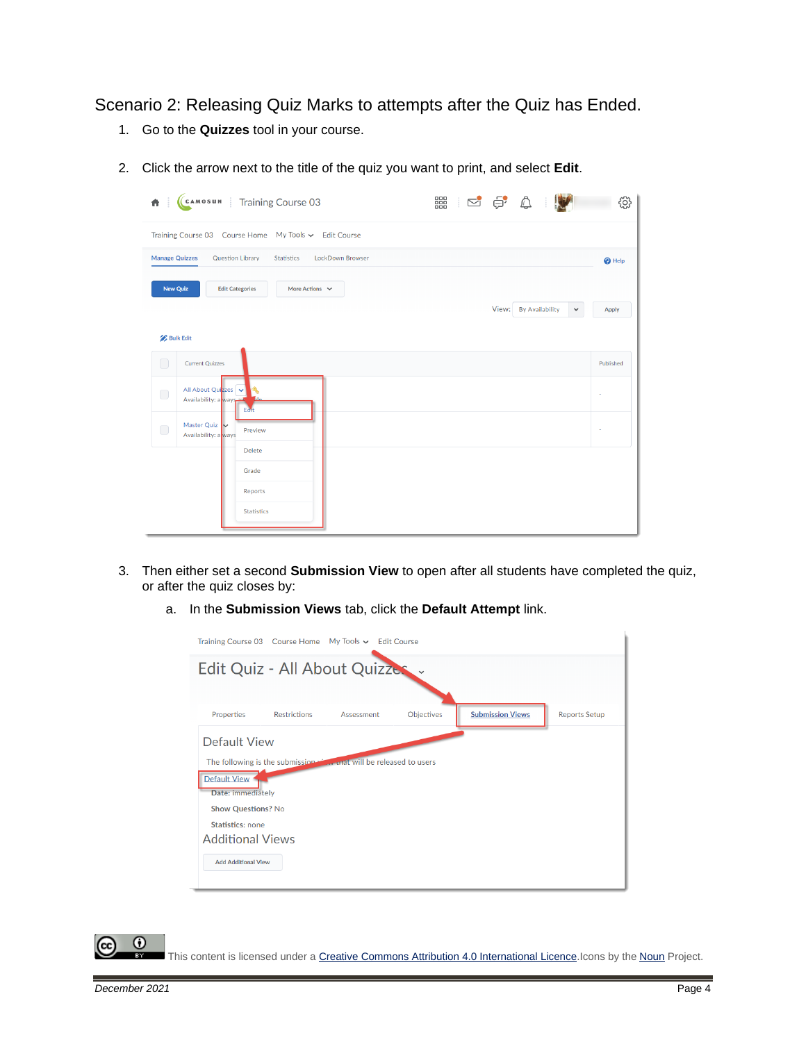Scenario 2: Releasing Quiz Marks to attempts after the Quiz has Ended.

- 1. Go to the **Quizzes** tool in your course.
- 2. Click the arrow next to the title of the quiz you want to print, and select **Edit**.

| 青                     | CAMOSUN Training Course 03                               | 器 250 0                               | දලු               |
|-----------------------|----------------------------------------------------------|---------------------------------------|-------------------|
|                       | Training Course 03  Course Home  My Tools v  Edit Course |                                       |                   |
| <b>Manage Quizzes</b> | Question Library<br>LockDown Browser<br>Statistics       |                                       | <sup>O</sup> Help |
| <b>New Quiz</b>       | <b>Edit Categories</b><br>More Actions $\vee$            |                                       |                   |
|                       |                                                          | View: By Availability<br>$\checkmark$ | Apply             |
| <b>Bulk Edit</b>      |                                                          |                                       |                   |
| $\bigcirc$            | <b>Current Quizzes</b>                                   |                                       | Published         |
| $\Box$                | All About Quizzes<br>Availability: a ways<br>Eat         |                                       |                   |
| $\bigcirc$            | Master Quiz<br>Preview<br>Availability: a ways           | ×                                     |                   |
|                       | <b>Delete</b>                                            |                                       |                   |
|                       | Grade<br>Reports                                         |                                       |                   |
|                       | <b>Statistics</b>                                        |                                       |                   |

- 3. Then either set a second **Submission View** to open after all students have completed the quiz, or after the quiz closes by:
	- a. In the **Submission Views** tab, click the **Default Attempt** link.

|                                          | Training Course 03 Course Home My Tools v Edit Course                 |            |            |                         |                      |  |  |  |
|------------------------------------------|-----------------------------------------------------------------------|------------|------------|-------------------------|----------------------|--|--|--|
|                                          | Edit Quiz - All About Quizzes                                         |            |            |                         |                      |  |  |  |
|                                          |                                                                       |            |            |                         |                      |  |  |  |
| Properties                               | <b>Restrictions</b>                                                   | Assessment | Objectives | <b>Submission Views</b> | <b>Reports Setup</b> |  |  |  |
| Default View                             |                                                                       |            |            |                         |                      |  |  |  |
|                                          | The following is the submission of the unat will be released to users |            |            |                         |                      |  |  |  |
| <b>Default View</b><br>Date: immediately |                                                                       |            |            |                         |                      |  |  |  |
| <b>Show Questions? No</b>                |                                                                       |            |            |                         |                      |  |  |  |
| Statistics: none                         |                                                                       |            |            |                         |                      |  |  |  |
| <b>Additional Views</b>                  |                                                                       |            |            |                         |                      |  |  |  |
| <b>Add Additional View</b>               |                                                                       |            |            |                         |                      |  |  |  |
|                                          |                                                                       |            |            |                         |                      |  |  |  |



This content is licensed under [a Creative Commons Attribution 4.0 International Licence.I](https://creativecommons.org/licenses/by/4.0/)cons by the [Noun](https://creativecommons.org/website-icons/) Project.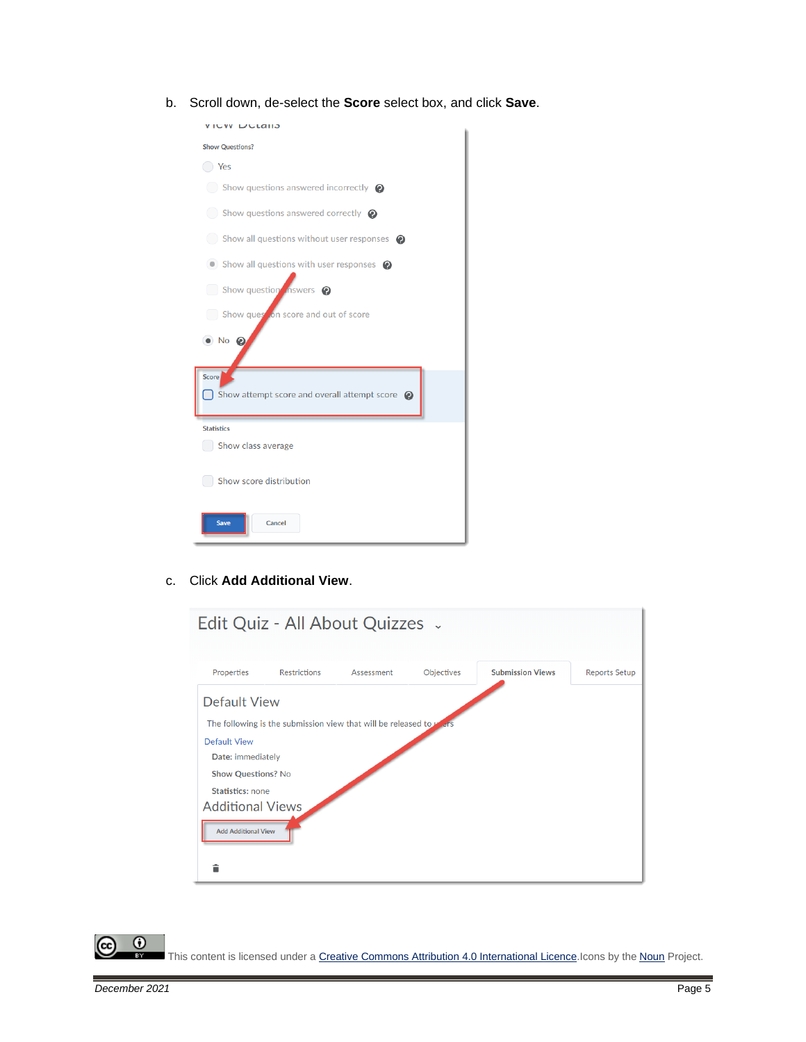b. Scroll down, de-select the **Score** select box, and click **Save**.

| JVV ∟udiij                                                |
|-----------------------------------------------------------|
| <b>Show Questions?</b>                                    |
| $( )$ Yes                                                 |
| $\bigcirc$ Show questions answered incorrectly $\bigcirc$ |
| $\bigcirc$ Show questions answered correctly $\bigcirc$   |
| Show all questions without user responses @               |
| • Show all questions with user responses •                |
| Show question inswers @                                   |
| Show question score and out of score                      |
| $\bullet$ No $\bullet$                                    |
| Score                                                     |
| Show attempt score and overall attempt score $\odot$      |
| <b>Statistics</b>                                         |
| Show class average                                        |
| Show score distribution                                   |
| <b>Save</b><br>Cancel                                     |

c. Click **Add Additional View**.



This content is licensed under [a Creative Commons Attribution 4.0 International Licence.I](https://creativecommons.org/licenses/by/4.0/)cons by the [Noun](https://creativecommons.org/website-icons/) Project.

 $\odot$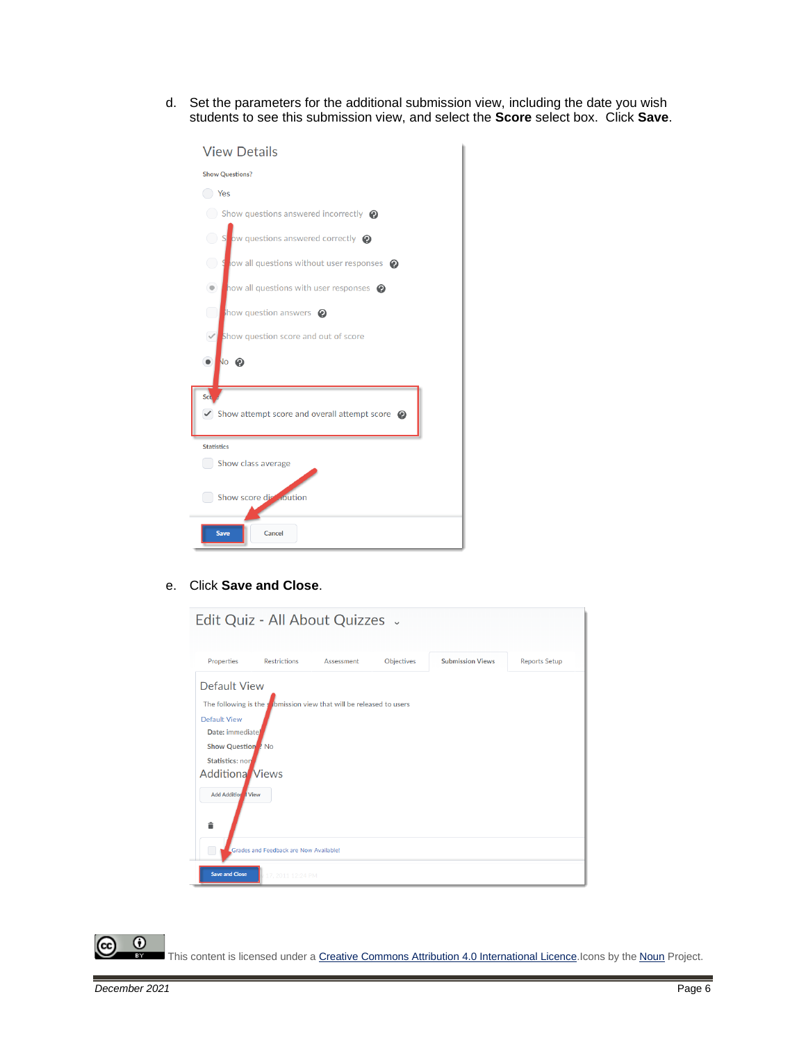d. Set the parameters for the additional submission view, including the date you wish students to see this submission view, and select the **Score** select box. Click **Save**.

| <b>View Details</b>                                                  |
|----------------------------------------------------------------------|
| <b>Show Questions?</b>                                               |
| ◯ Yes                                                                |
| $\Box$ Show questions answered incorrectly $\bigcirc$                |
| $\bigcirc$<br>$\sim$ ow questions answered correctly $\odot$         |
| Solid ow all questions without user responses @                      |
| how all questions with user responses $\bullet$<br>$\circledcirc$    |
| $\begin{array}{ccc} \end{array}$<br>how question answers $\bullet$   |
| $\checkmark$<br>Show question score and out of score                 |
| <b>No</b> 2<br>$\bullet$                                             |
| Sco                                                                  |
| $\triangledown$ Show attempt score and overall attempt score $\odot$ |
| <b>Statistics</b>                                                    |
| Show class average                                                   |
| Show score distribution                                              |
| Cancel<br><b>Save</b>                                                |

#### e. Click **Save and Close**.

|                                                                                                                                                                     | Edit Quiz - All About Quizzes .                                                        |            |            |                         |                      |
|---------------------------------------------------------------------------------------------------------------------------------------------------------------------|----------------------------------------------------------------------------------------|------------|------------|-------------------------|----------------------|
| Properties                                                                                                                                                          | <b>Restrictions</b>                                                                    | Assessment | Objectives | <b>Submission Views</b> | <b>Reports Setup</b> |
| Default View<br><b>Default View</b><br>Date: immediate<br>Show Question ? No<br><b>Statistics: non</b><br><b>Additiona</b> Views<br><b>Add Addition I View</b><br>â | The following is the $\sqrt{\frac{1}{2}}$ bmission view that will be released to users |            |            |                         |                      |
|                                                                                                                                                                     | Grades and Feedback are Now Available!                                                 |            |            |                         |                      |
| <b>Save and Close</b>                                                                                                                                               | 17, 2011 12:24 PM                                                                      |            |            |                         |                      |

 $\overline{\odot}$ This content is licensed under [a Creative Commons Attribution 4.0 International Licence.I](https://creativecommons.org/licenses/by/4.0/)cons by the [Noun](https://creativecommons.org/website-icons/) Project.

(cc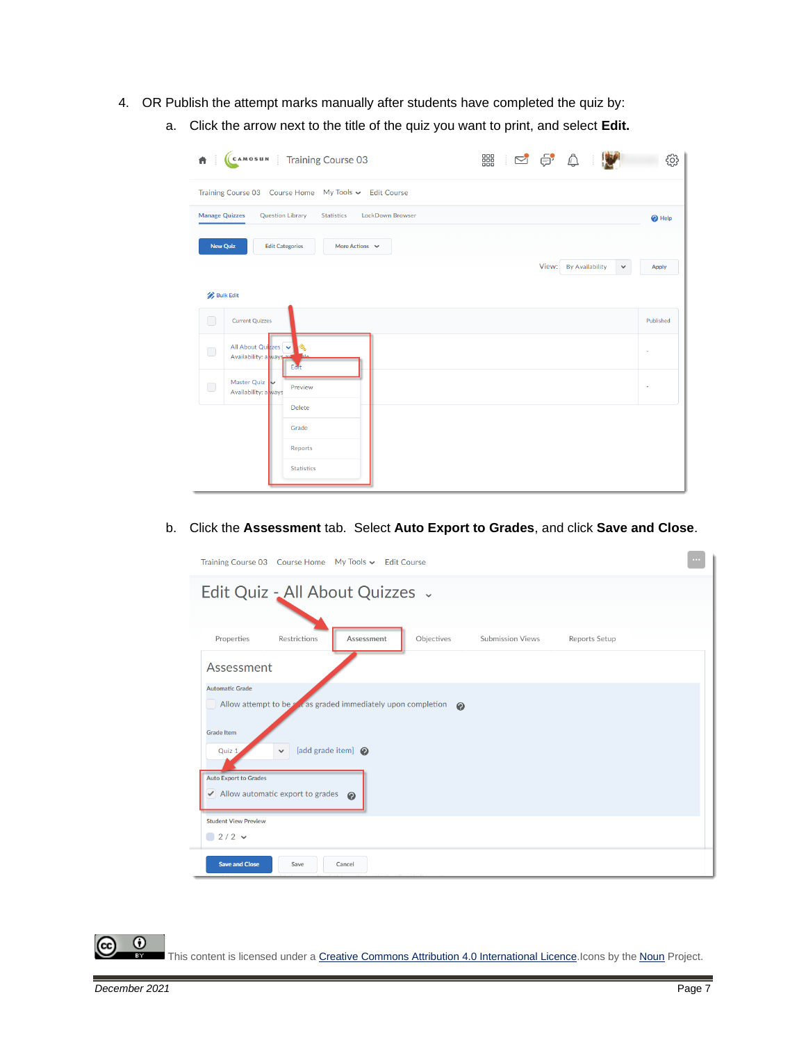- 4. OR Publish the attempt marks manually after students have completed the quiz by:
	- a. Click the arrow next to the title of the quiz you want to print, and select **Edit.**

| CAMOSUN Training Course 03<br>₩                                                    | 器 125 \$                              | 303               |
|------------------------------------------------------------------------------------|---------------------------------------|-------------------|
| Training Course 03 Course Home My Tools v Edit Course                              |                                       |                   |
| LockDown Browser<br><b>Manage Quizzes</b><br><b>Question Library</b><br>Statistics |                                       | <sup>O</sup> Help |
| <b>New Quiz</b><br><b>Edit Categories</b><br>More Actions $\vee$                   | View: By Availability<br>$\checkmark$ | Apply             |
| <b>Bulk Edit</b>                                                                   |                                       |                   |
| O<br><b>Current Quizzes</b>                                                        |                                       | Published         |
| All About Quizzes<br>$\bigcirc$<br>Availability: a ways<br>Eat                     |                                       |                   |
| Master Quiz<br>$\bigcap$<br>Preview<br>Availability: a ways                        |                                       |                   |
| <b>Delete</b><br>Grade                                                             |                                       |                   |
| Reports                                                                            |                                       |                   |
| <b>Statistics</b>                                                                  |                                       |                   |

b. Click the **Assessment** tab. Select **Auto Export to Grades**, and click **Save and Close**.

|                                                                                                                                                                                                                                                                                                                                                                                                                                                                                       | $\cdots$ |  |  |  |
|---------------------------------------------------------------------------------------------------------------------------------------------------------------------------------------------------------------------------------------------------------------------------------------------------------------------------------------------------------------------------------------------------------------------------------------------------------------------------------------|----------|--|--|--|
|                                                                                                                                                                                                                                                                                                                                                                                                                                                                                       |          |  |  |  |
|                                                                                                                                                                                                                                                                                                                                                                                                                                                                                       |          |  |  |  |
| Properties<br>Objectives<br>Restrictions<br>Assessment<br><b>Submission Views</b><br>Reports Setup                                                                                                                                                                                                                                                                                                                                                                                    |          |  |  |  |
| Training Course 03 Course Home My Tools v Edit Course<br>Edit Quiz - All About Quizzes .<br>Assessment<br><b>Automatic Grade</b><br>Allow attempt to be all as graded immediately upon completion<br>$\boldsymbol{\Omega}$<br><b>Grade Item</b><br>[add grade item] @<br>Quiz 1<br>v<br><b>Auto Export to Grades</b><br>$\blacktriangleright$ Allow automatic export to grades $\heartsuit$<br><b>Student View Preview</b><br>$2/2$ $\sim$<br><b>Save and Close</b><br>Save<br>Cancel |          |  |  |  |
|                                                                                                                                                                                                                                                                                                                                                                                                                                                                                       |          |  |  |  |
|                                                                                                                                                                                                                                                                                                                                                                                                                                                                                       |          |  |  |  |
|                                                                                                                                                                                                                                                                                                                                                                                                                                                                                       |          |  |  |  |
|                                                                                                                                                                                                                                                                                                                                                                                                                                                                                       |          |  |  |  |
|                                                                                                                                                                                                                                                                                                                                                                                                                                                                                       |          |  |  |  |
|                                                                                                                                                                                                                                                                                                                                                                                                                                                                                       |          |  |  |  |
|                                                                                                                                                                                                                                                                                                                                                                                                                                                                                       |          |  |  |  |
|                                                                                                                                                                                                                                                                                                                                                                                                                                                                                       |          |  |  |  |
|                                                                                                                                                                                                                                                                                                                                                                                                                                                                                       |          |  |  |  |

 $\odot$ This content is licensed under [a Creative Commons Attribution 4.0 International Licence.I](https://creativecommons.org/licenses/by/4.0/)cons by the [Noun](https://creativecommons.org/website-icons/) Project.

 $\overline{\phantom{a}}$